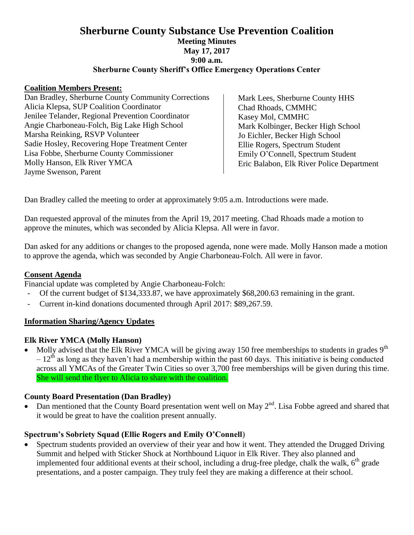## **Sherburne County Substance Use Prevention Coalition Meeting Minutes May 17, 2017 9:00 a.m. Sherburne County Sheriff's Office Emergency Operations Center**

#### **Coalition Members Present:**

Dan Bradley, Sherburne County Community Corrections Alicia Klepsa, SUP Coalition Coordinator Jenilee Telander, Regional Prevention Coordinator Angie Charboneau-Folch, Big Lake High School Marsha Reinking, RSVP Volunteer Sadie Hosley, Recovering Hope Treatment Center Lisa Fobbe, Sherburne County Commissioner Molly Hanson, Elk River YMCA Jayme Swenson, Parent

Mark Lees, Sherburne County HHS Chad Rhoads, CMMHC Kasey Mol, CMMHC Mark Kolbinger, Becker High School Jo Eichler, Becker High School Ellie Rogers, Spectrum Student Emily O'Connell, Spectrum Student Eric Balabon, Elk River Police Department

Dan Bradley called the meeting to order at approximately 9:05 a.m. Introductions were made.

Dan requested approval of the minutes from the April 19, 2017 meeting. Chad Rhoads made a motion to approve the minutes, which was seconded by Alicia Klepsa. All were in favor.

Dan asked for any additions or changes to the proposed agenda, none were made. Molly Hanson made a motion to approve the agenda, which was seconded by Angie Charboneau-Folch. All were in favor.

### **Consent Agenda**

Financial update was completed by Angie Charboneau-Folch:

- Of the current budget of \$134,333.87, we have approximately \$68,200.63 remaining in the grant.
- Current in-kind donations documented through April 2017: \$89,267.59.

### **Information Sharing/Agency Updates**

### **Elk River YMCA (Molly Hanson)**

• Molly advised that the Elk River YMCA will be giving away 150 free memberships to students in grades  $9<sup>th</sup>$  $-12<sup>th</sup>$  as long as they haven't had a membership within the past 60 days. This initiative is being conducted across all YMCAs of the Greater Twin Cities so over 3,700 free memberships will be given during this time. She will send the flyer to Alicia to share with the coalition.

### **County Board Presentation (Dan Bradley)**

• Dan mentioned that the County Board presentation went well on May  $2<sup>nd</sup>$ . Lisa Fobbe agreed and shared that it would be great to have the coalition present annually.

### **Spectrum's Sobriety Squad (Ellie Rogers and Emily O'Connell**)

 Spectrum students provided an overview of their year and how it went. They attended the Drugged Driving Summit and helped with Sticker Shock at Northbound Liquor in Elk River. They also planned and implemented four additional events at their school, including a drug-free pledge, chalk the walk, 6<sup>th</sup> grade presentations, and a poster campaign. They truly feel they are making a difference at their school.